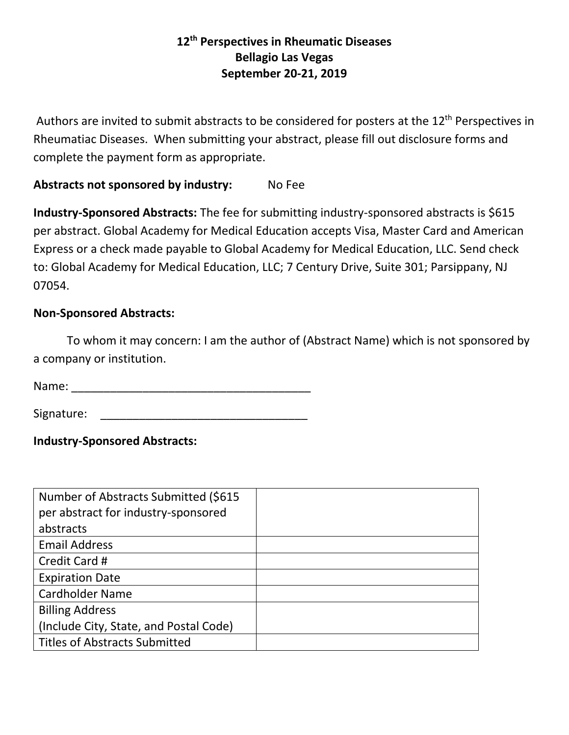## **12th Perspectives in Rheumatic Diseases Bellagio Las Vegas September 20-21, 2019**

Authors are invited to submit abstracts to be considered for posters at the 12<sup>th</sup> Perspectives in Rheumatiac Diseases. When submitting your abstract, please fill out disclosure forms and complete the payment form as appropriate.

## Abstracts not sponsored by industry: No Fee

**Industry-Sponsored Abstracts:** The fee for submitting industry-sponsored abstracts is \$615 per abstract. Global Academy for Medical Education accepts Visa, Master Card and American Express or a check made payable to Global Academy for Medical Education, LLC. Send check to: Global Academy for Medical Education, LLC; 7 Century Drive, Suite 301; Parsippany, NJ 07054.

## **Non-Sponsored Abstracts:**

To whom it may concern: I am the author of (Abstract Name) which is not sponsored by a company or institution.

Name: \_\_\_\_\_\_\_\_\_\_\_\_\_\_\_\_\_\_\_\_\_\_\_\_\_\_\_\_\_\_\_\_\_\_\_\_\_

Signature: \_\_\_\_\_\_\_\_\_\_\_\_\_\_\_\_\_\_\_\_\_\_\_\_\_\_\_\_\_\_\_\_

**Industry-Sponsored Abstracts:**

| Number of Abstracts Submitted (\$615)  |  |
|----------------------------------------|--|
| per abstract for industry-sponsored    |  |
| abstracts                              |  |
| <b>Email Address</b>                   |  |
| Credit Card #                          |  |
| <b>Expiration Date</b>                 |  |
| <b>Cardholder Name</b>                 |  |
| <b>Billing Address</b>                 |  |
| (Include City, State, and Postal Code) |  |
| <b>Titles of Abstracts Submitted</b>   |  |